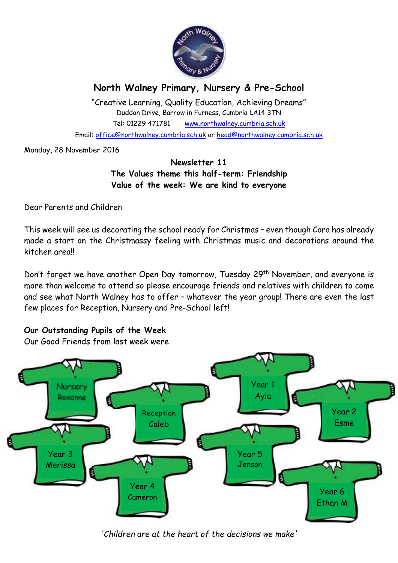

# **North Walney Primary, Nursery & Pre-School**

"Creative Learning, Quality Education, Achieving Dreams" Duddon Drive, Barrow in Furness, Cumbria LA14 3TN Tel: 01229 471781 www.northwalney.cumbria.sch.uk Email: office@northwalney.cumbria.sch.uk or head@northwalney.cumbria.sch.uk

Monday, 28 November 2016

## **Newsletter 11 The Values theme this half-term: Friendship Value of the week: We are kind to everyone**

Dear Parents and Children

This week will see us decorating the school ready for Christmas – even though Cora has already made a start on the Christmassy feeling with Christmas music and decorations around the kitchen areall

Don't forget we have another Open Day tomorrow, Tuesday 29<sup>th</sup> November, and everyone is more than welcome to attend so please encourage friends and relatives with children to come and see what North Walney has to offer – whatever the year group! There are even the last few places for Reception, Nursery and Pre-School left!

## **Our Outstanding Pupils of the Week**

Our Good Friends from last week were



*'Children are at the heart of the decisions we make'*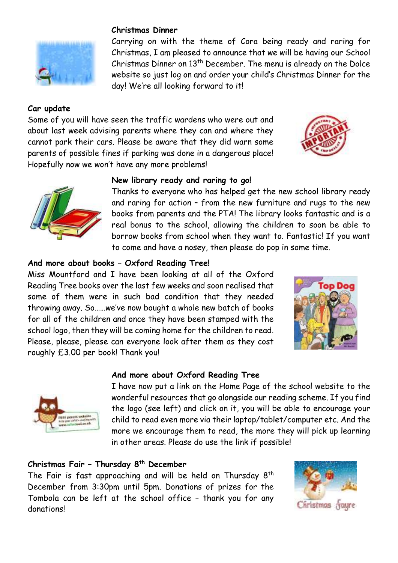

#### **Christmas Dinner**

Carrying on with the theme of Cora being ready and raring for Christmas, I am pleased to announce that we will be having our School Christmas Dinner on  $13<sup>th</sup>$  December. The menu is already on the Dolce website so just log on and order your child's Christmas Dinner for the day! We're all looking forward to it!

#### **Car update**

Some of you will have seen the traffic wardens who were out and about last week advising parents where they can and where they cannot park their cars. Please be aware that they did warn some parents of possible fines if parking was done in a dangerous place! Hopefully now we won't have any more problems!





#### **New library ready and raring to go!**

Thanks to everyone who has helped get the new school library ready and raring for action – from the new furniture and rugs to the new books from parents and the PTA! The library looks fantastic and is a real bonus to the school, allowing the children to soon be able to borrow books from school when they want to. Fantastic! If you want to come and have a nosey, then please do pop in some time.

#### **And more about books – Oxford Reading Tree!**

Miss Mountford and I have been looking at all of the Oxford Reading Tree books over the last few weeks and soon realised that some of them were in such bad condition that they needed throwing away. So……we've now bought a whole new batch of books for all of the children and once they have been stamped with the school logo, then they will be coming home for the children to read. Please, please, please can everyone look after them as they cost roughly £3.00 per book! Thank you!





#### **And more about Oxford Reading Tree**

I have now put a link on the Home Page of the school website to the wonderful resources that go alongside our reading scheme. If you find the logo (see left) and click on it, you will be able to encourage your child to read even more via their laptop/tablet/computer etc. And the more we encourage them to read, the more they will pick up learning in other areas. Please do use the link if possible!

#### **Christmas Fair – Thursday 8th December**

The Fair is fast approaching and will be held on Thursday  $8<sup>th</sup>$ December from 3:30pm until 5pm. Donations of prizes for the Tombola can be left at the school office – thank you for any donations!